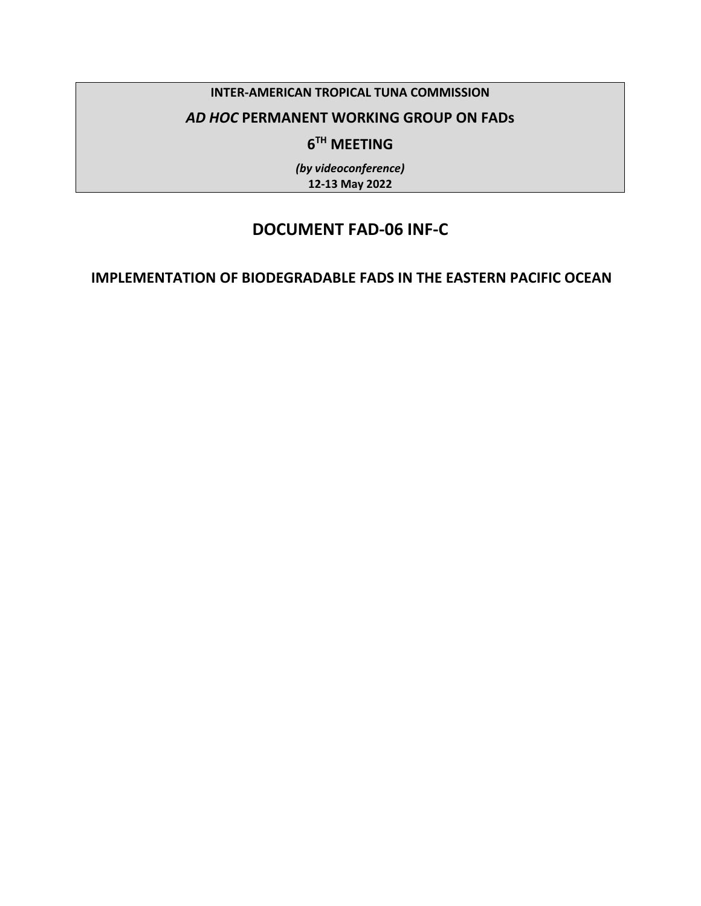#### **INTER-AMERICAN TROPICAL TUNA COMMISSION**

### *AD HOC* **PERMANENT WORKING GROUP ON FADs**

# **6TH MEETING**

*(by videoconference)* **12-13 May 2022**

# **DOCUMENT FAD-06 INF-C**

### **IMPLEMENTATION OF BIODEGRADABLE FADS IN THE EASTERN PACIFIC OCEAN**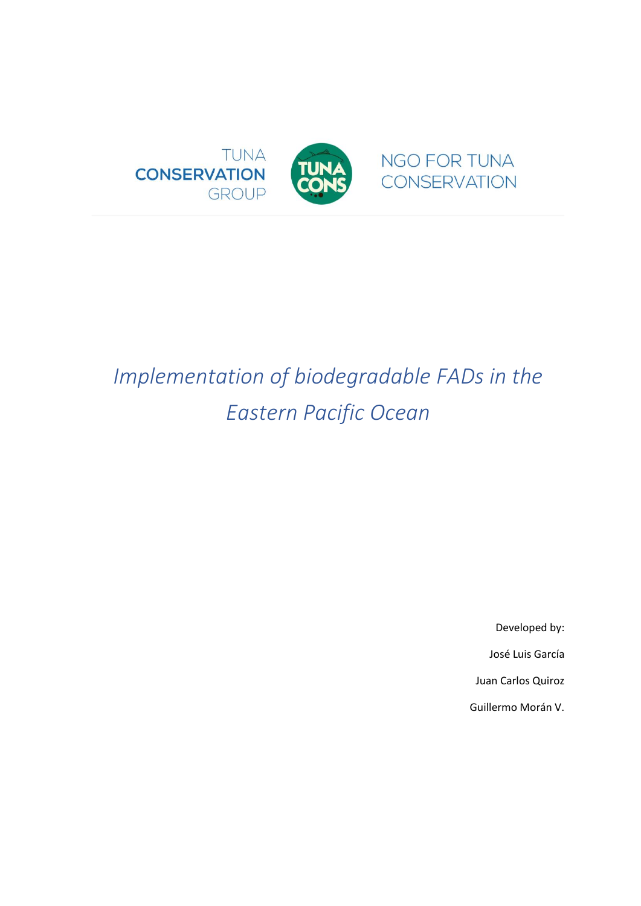

# <span id="page-1-0"></span>*Implementation of biodegradable FADs in the Eastern Pacific Ocean*

Developed by: José Luis García Juan Carlos Quiroz Guillermo Morán V.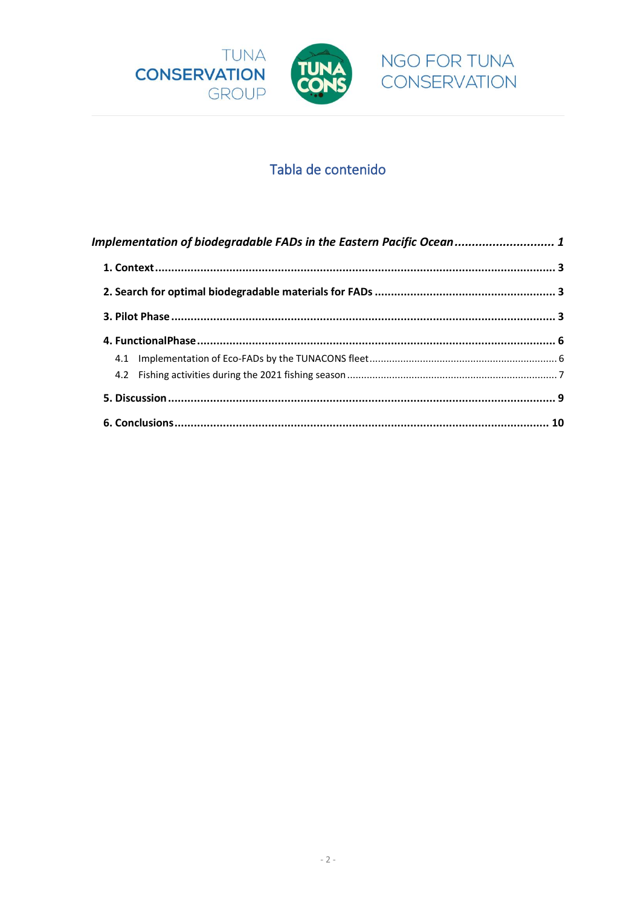



# Tabla de contenido

| Implementation of biodegradable FADs in the Eastern Pacific Ocean 1 |  |
|---------------------------------------------------------------------|--|
|                                                                     |  |
|                                                                     |  |
|                                                                     |  |
|                                                                     |  |
|                                                                     |  |
|                                                                     |  |
|                                                                     |  |
|                                                                     |  |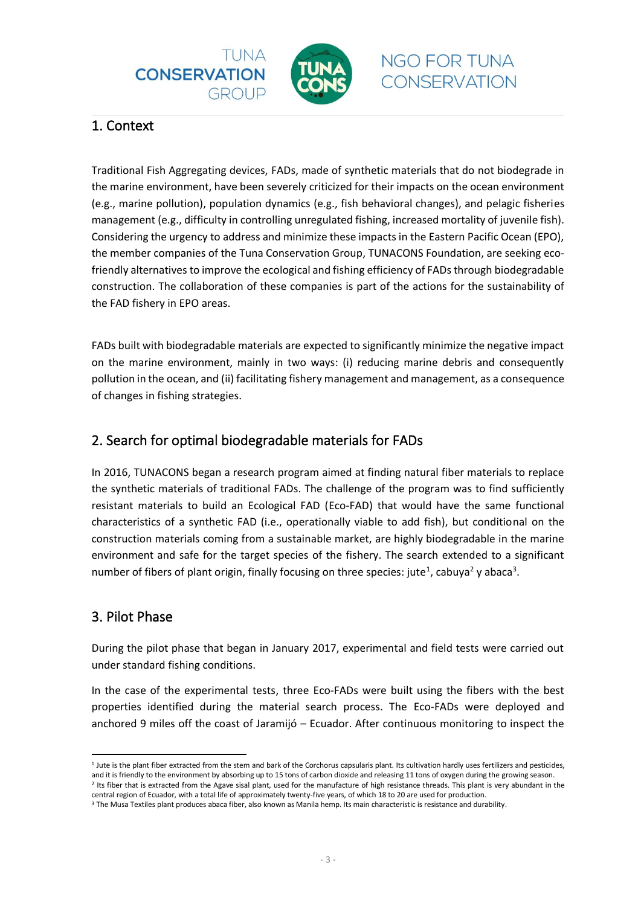



### <span id="page-3-0"></span>1. Context

<span id="page-3-1"></span>Traditional Fish Aggregating devices, FADs, made of synthetic materials that do not biodegrade in the marine environment, have been severely criticized for their impacts on the ocean environment (e.g., marine pollution), population dynamics (e.g., fish behavioral changes), and pelagic fisheries management (e.g., difficulty in controlling unregulated fishing, increased mortality of juvenile fish). Considering the urgency to address and minimize these impacts in the Eastern Pacific Ocean (EPO), the member companies of the Tuna Conservation Group, TUNACONS Foundation, are seeking ecofriendly alternatives to improve the ecological and fishing efficiency of FADs through biodegradable construction. The collaboration of these companies is part of the actions for the sustainability of the FAD fishery in EPO areas.

FADs built with biodegradable materials are expected to significantly minimize the negative impact on the marine environment, mainly in two ways: (i) reducing marine debris and consequently pollution in the ocean, and (ii) facilitating fishery management and management, as a consequence of changes in fishing strategies.

## 2. Search for optimal biodegradable materials for FADs

In 2016, TUNACONS began a research program aimed at finding natural fiber materials to replace the synthetic materials of traditional FADs. The challenge of the program was to find sufficiently resistant materials to build an Ecological FAD (Eco-FAD) that would have the same functional characteristics of a synthetic FAD (i.e., operationally viable to add fish), but conditional on the construction materials coming from a sustainable market, are highly biodegradable in the marine environment and safe for the target species of the fishery. The search extended to a significant number of fibers of plant origin, finally focusing on three species: jute<sup>1</sup>, cabuya<sup>2</sup> y abaca<sup>3</sup>.

### <span id="page-3-2"></span>3. Pilot Phase

During the pilot phase that began in January 2017, experimental and field tests were carried out under standard fishing conditions.

In the case of the experimental tests, three Eco-FADs were built using the fibers with the best properties identified during the material search process. The Eco-FADs were deployed and anchored 9 miles off the coast of Jaramijó – Ecuador. After continuous monitoring to inspect the

<sup>&</sup>lt;sup>1</sup> Jute is the plant fiber extracted from the stem and bark of the Corchorus capsularis plant. Its cultivation hardly uses fertilizers and pesticides, and it is friendly to the environment by absorbing up to 15 tons of carbon dioxide and releasing 11 tons of oxygen during the growing season. <sup>2</sup> Its fiber that is extracted from the Agave sisal plant, used for the manufacture of high resistance threads. This plant is very abundant in the

central region of Ecuador, with a total life of approximately twenty-five years, of which 18 to 20 are used for production.

<sup>3</sup> The Musa Textiles plant produces abaca fiber, also known as Manila hemp. Its main characteristic is resistance and durability.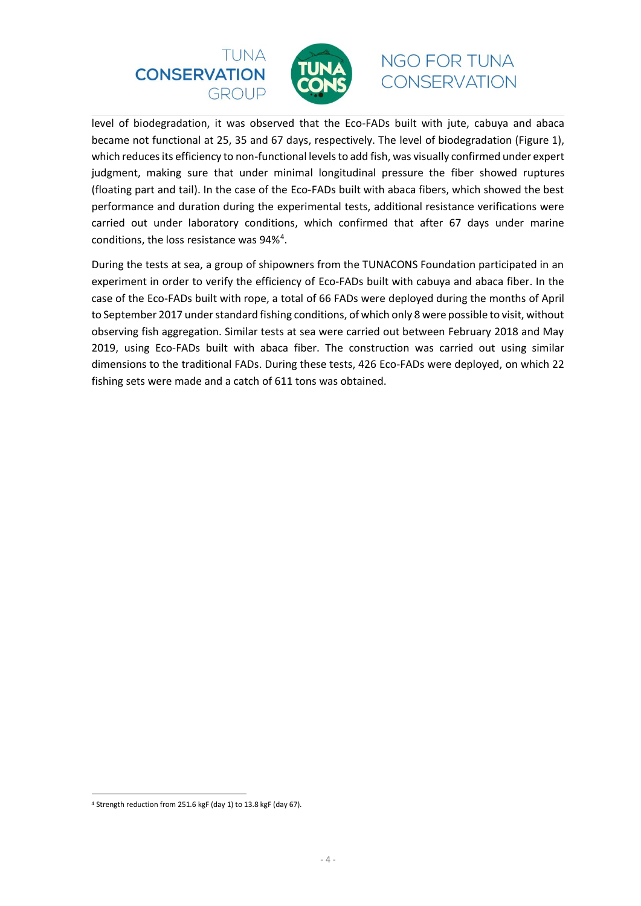



level of biodegradation, it was observed that the Eco-FADs built with jute, cabuya and abaca became not functional at 25, 35 and 67 days, respectively. The level of biodegradation (Figure 1), which reduces its efficiency to non-functional levels to add fish, was visually confirmed under expert judgment, making sure that under minimal longitudinal pressure the fiber showed ruptures (floating part and tail). In the case of the Eco-FADs built with abaca fibers, which showed the best performance and duration during the experimental tests, additional resistance verifications were carried out under laboratory conditions, which confirmed that after 67 days under marine conditions, the loss resistance was 94%<sup>4</sup>.

During the tests at sea, a group of shipowners from the TUNACONS Foundation participated in an experiment in order to verify the efficiency of Eco-FADs built with cabuya and abaca fiber. In the case of the Eco-FADs built with rope, a total of 66 FADs were deployed during the months of April to September 2017 under standard fishing conditions, of which only 8 were possible to visit, without observing fish aggregation. Similar tests at sea were carried out between February 2018 and May 2019, using Eco-FADs built with abaca fiber. The construction was carried out using similar dimensions to the traditional FADs. During these tests, 426 Eco-FADs were deployed, on which 22 fishing sets were made and a catch of 611 tons was obtained.

<sup>4</sup> Strength reduction from 251.6 kgF (day 1) to 13.8 kgF (day 67).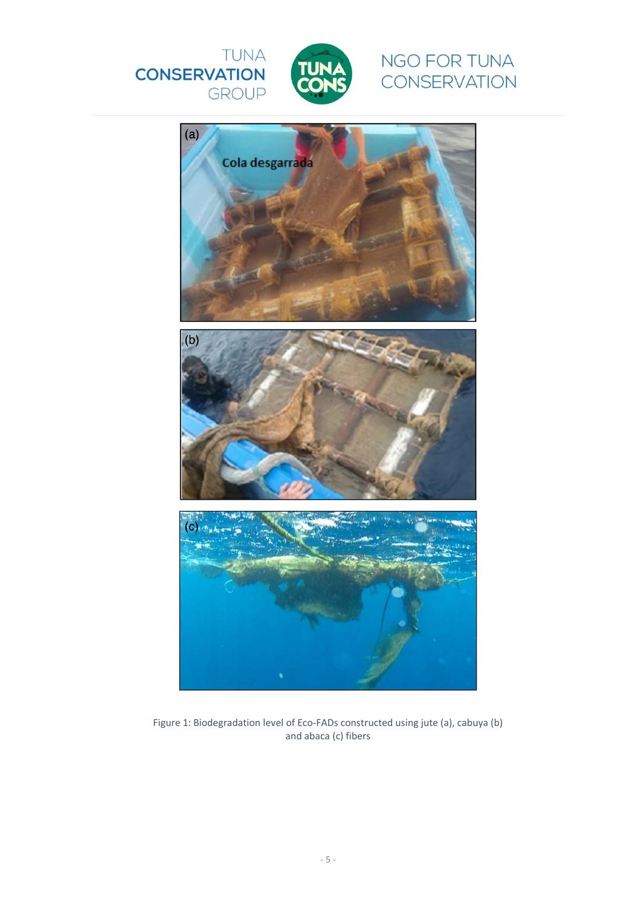





Figure 1: Biodegradation level of Eco-FADs constructed using jute (a), cabuya (b) and abaca (c) fibers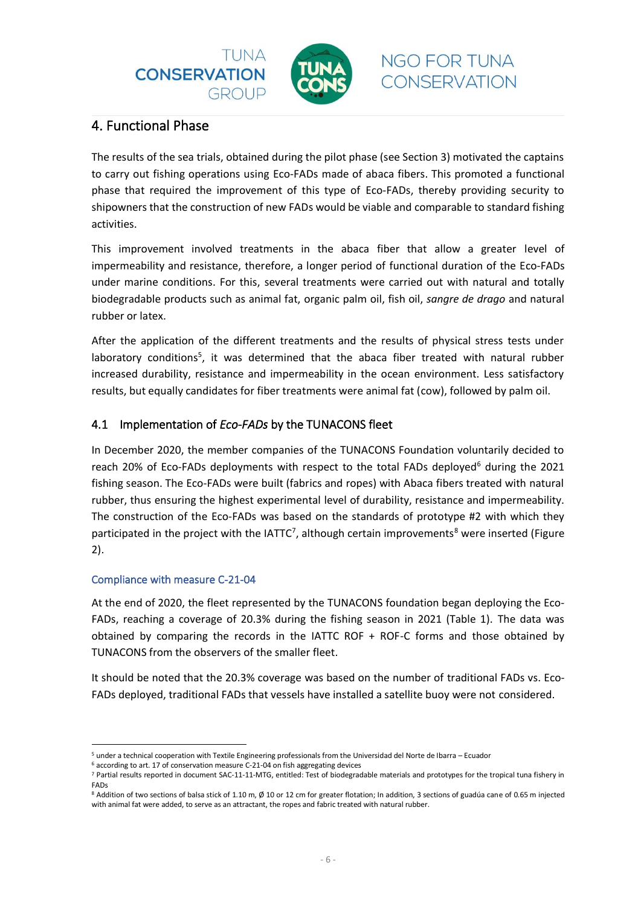



### <span id="page-6-0"></span>4. Functional Phase

The results of the sea trials, obtained during the pilot phase (see Section 3) motivated the captains to carry out fishing operations using Eco-FADs made of abaca fibers. This promoted a functional phase that required the improvement of this type of Eco-FADs, thereby providing security to shipowners that the construction of new FADs would be viable and comparable to standard fishing activities.

This improvement involved treatments in the abaca fiber that allow a greater level of impermeability and resistance, therefore, a longer period of functional duration of the Eco-FADs under marine conditions. For this, several treatments were carried out with natural and totally biodegradable products such as animal fat, organic palm oil, fish oil, *sangre de drago* and natural rubber or latex.

After the application of the different treatments and the results of physical stress tests under laboratory conditions<sup>5</sup>, it was determined that the abaca fiber treated with natural rubber increased durability, resistance and impermeability in the ocean environment. Less satisfactory results, but equally candidates for fiber treatments were animal fat (cow), followed by palm oil.

#### <span id="page-6-1"></span>4.1 Implementation of *Eco-FADs* by the TUNACONS fleet

In December 2020, the member companies of the TUNACONS Foundation voluntarily decided to reach 20% of Eco-FADs deployments with respect to the total FADs deployed<sup>6</sup> during the 2021 fishing season. The Eco-FADs were built (fabrics and ropes) with Abaca fibers treated with natural rubber, thus ensuring the highest experimental level of durability, resistance and impermeability. The construction of the Eco-FADs was based on the standards of prototype #2 with which they participated in the project with the IATTC<sup>7</sup>, although certain improvements<sup>8</sup> were inserted (Figure 2).

#### Compliance with measure C-21-04

At the end of 2020, the fleet represented by the TUNACONS foundation began deploying the Eco-FADs, reaching a coverage of 20.3% during the fishing season in 2021 (Table 1). The data was obtained by comparing the records in the IATTC ROF + ROF-C forms and those obtained by TUNACONS from the observers of the smaller fleet.

It should be noted that the 20.3% coverage was based on the number of traditional FADs vs. Eco-FADs deployed, traditional FADs that vessels have installed a satellite buoy were not considered.

<sup>5</sup> under a technical cooperation with Textile Engineering professionals from the Universidad del Norte de Ibarra – Ecuador

<sup>6</sup> according to art. 17 of conservation measure C-21-04 on fish aggregating devices

<sup>7</sup> Partial results reported in document SAC-11-11-MTG, entitled: Test of biodegradable materials and prototypes for the tropical tuna fishery in FADs

<sup>8</sup> Addition of two sections of balsa stick of 1.10 m, Ø 10 or 12 cm for greater flotation; In addition, 3 sections of guadúa cane of 0.65 m injected with animal fat were added, to serve as an attractant, the ropes and fabric treated with natural rubber.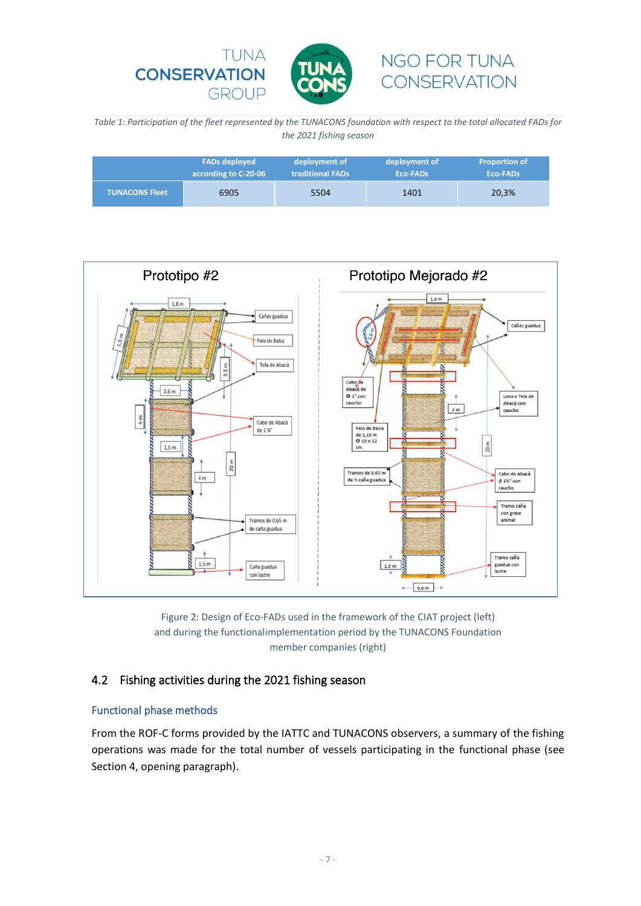

*Table 1: Participation of the fleet represented by the TUNACONS foundation with respect to the total allocated FADs for the 2021 fishing season*

|                       | <b>FADs deployed</b> | deployment of           | deployment of | <b>Proportion of</b> |
|-----------------------|----------------------|-------------------------|---------------|----------------------|
|                       | according to C-20-06 | <b>traditional FADs</b> | Eco-FADs      | Eco-FADs             |
| <b>TUNACONS Fleet</b> | 6905                 | 5504                    | 1401          | 20,3%                |





#### <span id="page-7-0"></span>4.2 Fishing activities during the 2021 fishing season

#### Functional phase methods

From the ROF-C forms provided by the IATTC and TUNACONS observers, a summary of the fishing operations was made for the total number of vessels participating in the functional phase (see Section 4, opening paragraph).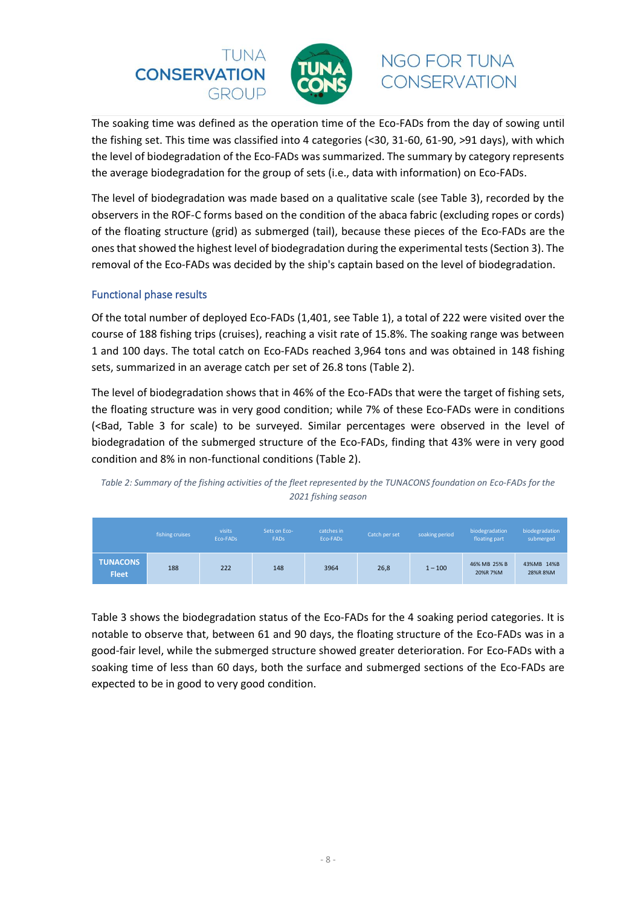



The soaking time was defined as the operation time of the Eco-FADs from the day of sowing until the fishing set. This time was classified into 4 categories (<30, 31-60, 61-90, >91 days), with which the level of biodegradation of the Eco-FADs was summarized. The summary by category represents the average biodegradation for the group of sets (i.e., data with information) on Eco-FADs.

The level of biodegradation was made based on a qualitative scale (see Table 3), recorded by the observers in the ROF-C forms based on the condition of the abaca fabric (excluding ropes or cords) of the floating structure (grid) as submerged (tail), because these pieces of the Eco-FADs are the ones that showed the highest level of biodegradation during the experimental tests (Section 3). The removal of the Eco-FADs was decided by the ship's captain based on the level of biodegradation.

#### Functional phase results

Of the total number of deployed Eco-FADs (1,401, see Table 1), a total of 222 were visited over the course of 188 fishing trips (cruises), reaching a visit rate of 15.8%. The soaking range was between 1 and 100 days. The total catch on Eco-FADs reached 3,964 tons and was obtained in 148 fishing sets, summarized in an average catch per set of 26.8 tons (Table 2).

The level of biodegradation shows that in 46% of the Eco-FADs that were the target of fishing sets, the floating structure was in very good condition; while 7% of these Eco-FADs were in conditions (<Bad, Table 3 for scale) to be surveyed. Similar percentages were observed in the level of biodegradation of the submerged structure of the Eco-FADs, finding that 43% were in very good condition and 8% in non-functional conditions (Table 2).



|                                 | fishing cruises | visits<br>Eco-FADs | Sets on Eco-<br><b>FADS</b> | catches in<br>Eco-FADs | Catch per set | soaking period | biodegradation<br>floating part | biodegradation<br>submerged |
|---------------------------------|-----------------|--------------------|-----------------------------|------------------------|---------------|----------------|---------------------------------|-----------------------------|
| <b>TUNACONS</b><br><b>Fleet</b> | 188             | 222                | 148                         | 3964                   | 26,8          | $1 - 100$      | 46% MB 25% B<br>20%R 7%M        | 43%MB 14%B<br>28%R8%M       |

Table 3 shows the biodegradation status of the Eco-FADs for the 4 soaking period categories. It is notable to observe that, between 61 and 90 days, the floating structure of the Eco-FADs was in a good-fair level, while the submerged structure showed greater deterioration. For Eco-FADs with a soaking time of less than 60 days, both the surface and submerged sections of the Eco-FADs are expected to be in good to very good condition.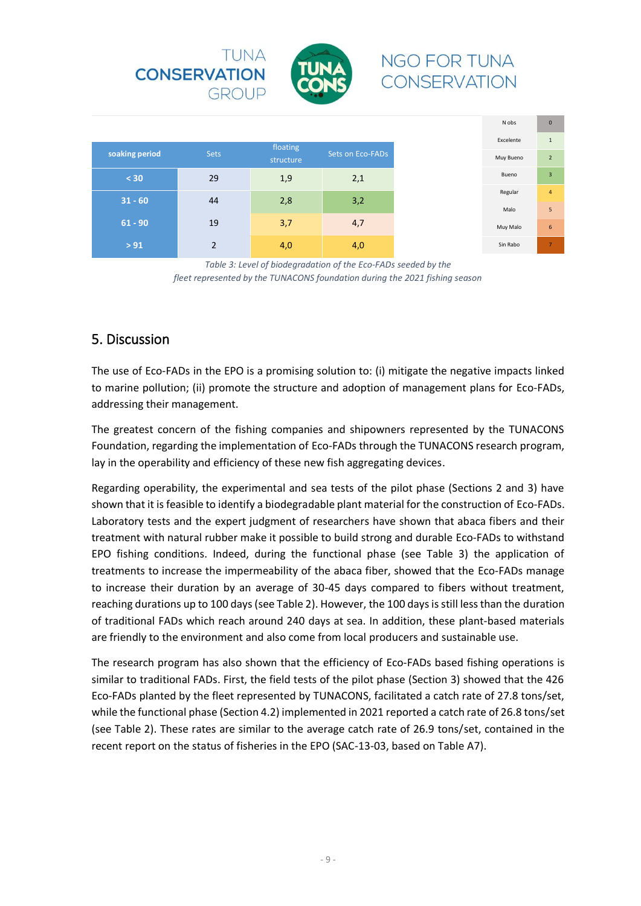

|                |             | floating  |                  |
|----------------|-------------|-----------|------------------|
| soaking period | <b>Sets</b> | structure | Sets on Eco-FADs |
| < 30           | 29          | 1,9       | 2,1              |
| $31 - 60$      | 44          | 2,8       | 3,2              |
|                |             |           |                  |
| $61 - 90$      | 19          | 3,7       | 4,7              |
| $> 91$         | っ           | 4,0       | 4,0              |

*Table 3: Level of biodegradation of the Eco-FADs seeded by the fleet represented by the TUNACONS foundation during the 2021 fishing season*

### <span id="page-9-0"></span>5. Discussion

The use of Eco-FADs in the EPO is a promising solution to: (i) mitigate the negative impacts linked to marine pollution; (ii) promote the structure and adoption of management plans for Eco-FADs, addressing their management.

The greatest concern of the fishing companies and shipowners represented by the TUNACONS Foundation, regarding the implementation of Eco-FADs through the TUNACONS research program, lay in the operability and efficiency of these new fish aggregating devices.

Regarding operability, the experimental and sea tests of the pilot phase (Sections 2 and 3) have shown that it is feasible to identify a biodegradable plant material for the construction of Eco-FADs. Laboratory tests and the expert judgment of researchers have shown that abaca fibers and their treatment with natural rubber make it possible to build strong and durable Eco-FADs to withstand EPO fishing conditions. Indeed, during the functional phase (see Table 3) the application of treatments to increase the impermeability of the abaca fiber, showed that the Eco-FADs manage to increase their duration by an average of 30-45 days compared to fibers without treatment, reaching durations up to 100 days (see Table 2). However, the 100 days is still less than the duration of traditional FADs which reach around 240 days at sea. In addition, these plant-based materials are friendly to the environment and also come from local producers and sustainable use.

The research program has also shown that the efficiency of Eco-FADs based fishing operations is similar to traditional FADs. First, the field tests of the pilot phase (Section 3) showed that the 426 Eco-FADs planted by the fleet represented by TUNACONS, facilitated a catch rate of 27.8 tons/set, while the functional phase (Section 4.2) implemented in 2021 reported a catch rate of 26.8 tons/set (see Table 2). These rates are similar to the average catch rate of 26.9 tons/set, contained in the recent report on the status of fisheries in the EPO (SAC-13-03, based on Table A7).